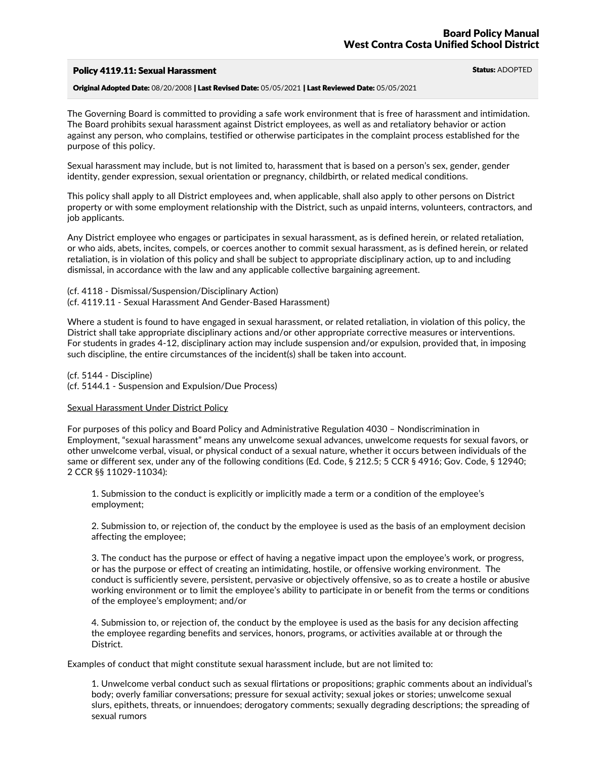# Policy 4119.11: Sexual Harassment Status: ADOPTED

Original Adopted Date: 08/20/2008 | Last Revised Date: 05/05/2021 | Last Reviewed Date: 05/05/2021

The Governing Board is committed to providing a safe work environment that is free of harassment and intimidation.<br>The Board prohibits sexual harassment against District employees, as well as and retaliatory behavior or ac against any person, who complains, testified or otherwise participates in the complaint process established for the purpose of this policy.

Sexual harassment may include, but is not limited to, harassment that is based on a person's sex, gender, gender identity, gender expression, sexual orientation or pregnancy, childbirth, or related medical conditions.

This policy shall apply to all District employees and, when applicable, shall also apply to other persons on District property or with some employment relationship with the District, such as unpaid interns, volunteers, contractors, and job applicants.

Any District employee who engages or participates in sexual harassment, as is defined herein, or related retaliation,<br>or who aids, abets, incites, compels, or coerces another to commit sexual harassment, as is defined here retaliation, is in violation of this policy and shall be subject to appropriate disciplinary action, up to and including dismissal, in accordance with the law and any applicable collective bargaining agreement.

- (cf. 4118 Dismissal/Suspension/Disciplinary Action)
- (cf. 4119.11 Sexual Harassment And Gender-Based Harassment)

Where a student is found to have engaged in sexual harassment, or related retaliation, in violation of this policy, the District shall take appropriate disciplinary actions and/or other appropriate corrective measures or interventions. For students in grades 4-12, disciplinary action may include suspension and/or expulsion, provided that, in imposing such discipline, the entire circumstances of the incident(s) shall be taken into account.

(cf. 5144 - Discipline) (cf. 5144.1 - Suspension and Expulsion/Due Process)

## Sexual Harassment Under District Policy

For purposes of this policy and Board Policy and Administrative Regulation 4030 – Nondiscrimination in Employment, "sexual harassment" means any unwelcome sexual advances, unwelcome requests for sexual favors, or other unwelcome verbal, visual, or physical conduct of a sexual nature, whether it occurs between individuals of the same or different sex, under any of the following conditions (Ed. Code, § 212.5; 5 CCR § 4916; Gov. Code, § 12940; 2 CCR §§ 11029-11034):

1. Submission to the conduct is explicitly or implicitly made a term or a condition of the employee's employment;

2. Submission to, or rejection of, the conduct by the employee is used as the basis of an employment decision affecting the employee;

3. The conduct has the purpose or effect of having a negative impact upon the employee's work, or progress, or has the purpose or effect of creating an intimidating, hostile, or offensive working environment. The conduct is sufficiently severe, persistent, pervasive or objectively offensive, so as to create a hostile or abusive working environment or to limit the employee's ability to participate in or benefit from the terms or conditions of the employee's employment; and/or

4. Submission to, or rejection of, the conduct by the employee is used as the basis for any decision affecting the employee regarding benefits and services, honors, programs, or activities available at or through the District.

Examples of conduct that might constitute sexual harassment include, but are not limited to:

1. Unwelcome verbal conduct such as sexual flirtations or propositions; graphic comments about an individual's body; overly familiar conversations; pressure for sexual activity; sexual jokes or stories; unwelcome sexual slurs, epithets, threats, or innuendoes; derogatory comments; sexually degrading descriptions; the spreading of sexual rumors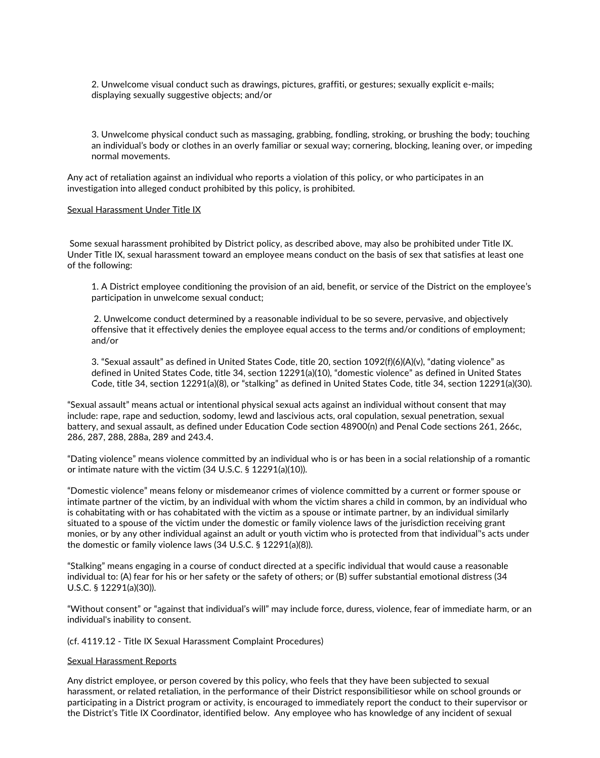2. Unwelcome visual conduct such as drawings, pictures, graffiti, or gestures; sexually explicit e-mails; displaying sexually suggestive objects; and/or

3. Unwelcome physical conduct such as massaging, grabbing, fondling, stroking, or brushing the body; touching an individual's body or clothes in an overly familiar or sexual way; cornering, blocking, leaning over, or impeding normal movements.

Any act of retaliation against an individual who reports a violation of this policy, or who participates in an investigation into alleged conduct prohibited by this policy, is prohibited.

### Sexual Harassment Under Title IX

Some sexual harassment prohibited by District policy, as described above, may also be prohibited under Title IX.<br>Under Title IX, sexual harassment toward an employee means conduct on the basis of sex that satisfies at leas of the following:

1. A District employee conditioning the provision of an aid, benefit, or service of the District on the employee's participation in unwelcome sexual conduct;

2. Unwelcome conduct determined by a reasonable individual to be so severe, pervasive, and objectively offensive that it effectively denies the employee equal access to the terms and/or conditions of employment; and/or

3. "Sexual assault" as defined in United States Code, title 20, section 1092(f)(6)(A)(v), "dating violence" as defined in United States Code, title 34, section 12291(a)(10), "domestic violence" as defined in United States Code, title 34, section 12291(a)(8), or "stalking" as defined in United States Code, title 34, section 12291(a)(30).

"Sexual assault" means actual or intentional physical sexual acts against an individual without consent that may include: rape, rape and seduction, sodomy, lewd and lascivious acts, oral copulation, sexual penetration, sexual battery, and sexual assault, as defined under Education Code section 48900(n) and Penal Code sections 261, 266c, 286, 288a, 289 and 243.4.

"Dating violence" means violence committed by an individual who is or has been in a social relationship of a romantic or intimate nature with the victim (34 U.S.C. § 12291(a)(10)).

"Domestic violence" means felony or misdemeanor crimes of violence committed by a current or former spouse or intimate partner of the victim, by an individual with whom the victim shares a child in common, by an individual who is cohabitating with or has cohabitated with the victim as a spouse or intimate partner, by an individual similarly situated to a spouse of the victim under the domestic or family violence laws of the jurisdiction receiving grant monies, or by any other individual against an adult or youth victim who is protected from that individual''s acts under the domestic or family violence laws (34 U.S.C. § 12291(a)(8)).

"Stalking" means engaging in a course of conduct directed at a specific individual that would cause a reasonable individual to: (A) fear for his or her safety or the safety of others; or (B) suffer substantial emotional distress (34 U.S.C. § 12291(a)(30)).

"Without consent" or "against that individual's will" may include force, duress, violence, fear of immediate harm, or an individual's inability to consent.

#### (cf. 4119.12 - Title IX Sexual Harassment Complaint Procedures)

#### Sexual Harassment Reports

Any district employee, or person covered by this policy, who feels that they have been subjected to sexual harassment, or related retaliation, in the performance of their District responsibilitiesor while on school grounds or participating in a District program or activity, is encouraged to immediately report the conduct to their supervisor or the District's Title IX Coordinator, identified below. Any employee who has knowledge of any incident of sexual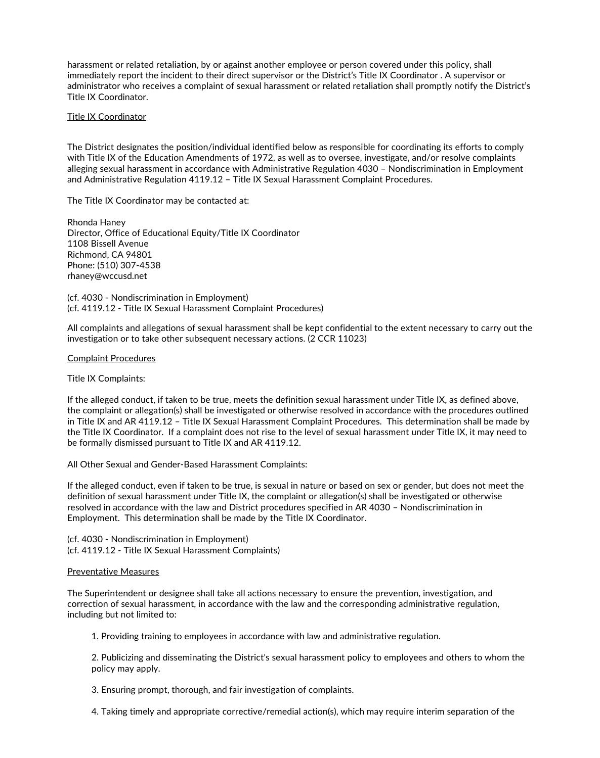harassment or related retaliation, by or against another employee or person covered under this policy, shall immediately report the incident to their direct supervisor or the District's Title IX Coordinator . A supervisor or administrator who receives a complaint of sexual harassment or related retaliation shall promptly notify the District's Title IX Coordinator.

## Title IX Coordinator

The District designates the position/individual identified below as responsible for coordinating its efforts to comply with Title IX of the Education Amendments of 1972, as well as to oversee, investigate, and/or resolve complaints alleging sexual harassment in accordance with Administrative Regulation 4030 – Nondiscrimination in Employment and Administrative Regulation 4119.12 – Title IX Sexual Harassment Complaint Procedures.

The Title IX Coordinator may be contacted at:

Rhonda Haney Director, Office of Educational Equity/Title IX Coordinator 1108 Bissell Avenue Richmond, CA 94801 Phone: (510) 307-4538 rhaney@wccusd.net

(cf. 4030 - Nondiscrimination in Employment) (cf. 4119.12 - Title IX Sexual Harassment Complaint Procedures)

All complaints and allegations of sexual harassment shall be kept confidential to the extent necessary to carry out the investigation or to take other subsequent necessary actions. (2 CCR 11023)

### Complaint Procedures

Title IX Complaints:

If the alleged conduct, if taken to be true, meets the definition sexual harassment under Title IX, as defined above, the complaint or allegation(s) shall be investigated or otherwise resolved in accordance with the procedures outlined in Title IX and AR 4119.12 – Title IX Sexual Harassment Complaint Procedures. This determination shall be made by the Title IX Coordinator. If a complaint does not rise to the level of sexual harassment under Title IX, it may need to be formally dismissed pursuant to Title IX and AR 4119.12.

All Other Sexual and Gender-Based Harassment Complaints:

If the alleged conduct, even if taken to be true, is sexual in nature or based on sex or gender, but does not meet the definition of sexual harassment under Title IX, the complaint or allegation(s) shall be investigated or otherwise resolved in accordance with the law and District procedures specified in AR 4030 – Nondiscrimination in Employment. This determination shall be made by the Title IX Coordinator.

(cf. 4030 - Nondiscrimination in Employment) (cf. 4119.12 - Title IX Sexual Harassment Complaints)

#### Preventative Measures

The Superintendent or designee shall take all actions necessary to ensure the prevention, investigation, and correction of sexual harassment, in accordance with the law and the corresponding administrative regulation, including but not limited to:

1. Providing training to employees in accordance with law and administrative regulation.

2. Publicizing and disseminating the District's sexual harassment policy to employees and others to whom the policy may apply.

3. Ensuring prompt, thorough, and fair investigation of complaints.

4. Taking timely and appropriate corrective/remedial action(s), which may require interim separation of the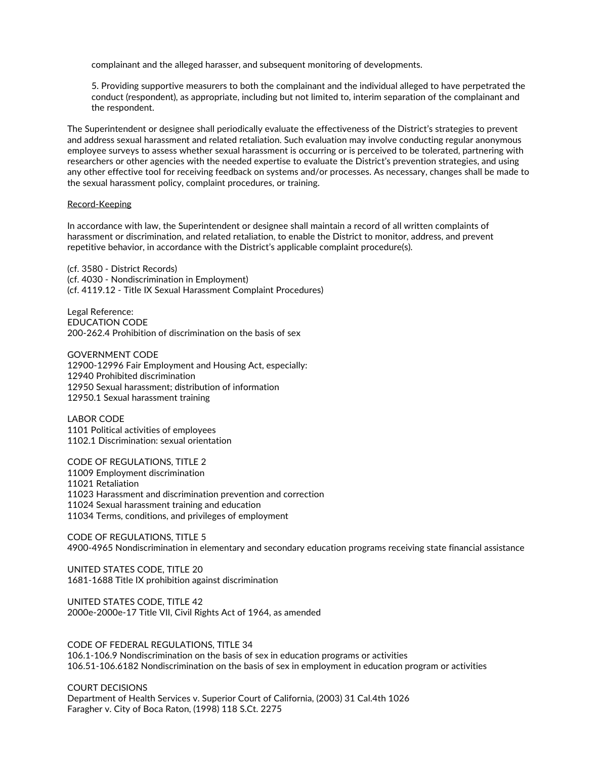complainant and the alleged harasser, and subsequent monitoring of developments.

5. Providing supportive measurers to both the complainant and the individual alleged to have perpetrated the conduct (respondent), as appropriate, including but not limited to, interim separation of the complainant and the respondent.

The Superintendent or designee shall periodically evaluate the effectiveness of the District's strategies to prevent and address sexual harassment and related retaliation. Such evaluation may involve conducting regular anonymous employee surveys to assess whether sexual harassment is occurring or is perceived to be tolerated, partnering with researchers or other agencies with the needed expertise to evaluate the District's prevention strategies, and using any other effective tool for receiving feedback on systems and/or processes. As necessary, changes shall be made to the sexual harassment policy, complaint procedures, or training.

#### Record-Keeping

In accordance with law, the Superintendent or designee shall maintain a record of all written complaints of harassment or discrimination, and related retaliation, to enable the District to monitor, address, and prevent repetitive behavior, in accordance with the District's applicable complaint procedure(s).

(cf. 3580 - District Records) (cf. 4030 - Nondiscrimination in Employment) (cf. 4119.12 - Title IX Sexual Harassment Complaint Procedures)

Legal Reference: EDUCATION CODE 200-262.4 Prohibition of discrimination on the basis of sex

GOVERNMENT CODE 12900-12996 Fair Employment and Housing Act, especially: 12940 Prohibited discrimination 12950 Sexual harassment; distribution of information 12950.1 Sexual harassment training

LABOR CODE 1101 Political activities of employees 1102.1 Discrimination: sexual orientation

CODE OF REGULATIONS, TITLE 2 Employment discrimination Retaliation Harassment and discrimination prevention and correction Sexual harassment training and education Terms, conditions, and privileges of employment

CODE OF REGULATIONS, TITLE 5 4900-4965 Nondiscrimination in elementary and secondary education programs receiving state financial assistance

UNITED STATES CODE, TITLE 20 1681-1688 Title IX prohibition against discrimination

UNITED STATES CODE, TITLE 42 2000e-2000e-17 Title VII, Civil Rights Act of 1964, as amended

CODE OF FEDERAL REGULATIONS, TITLE 34 106.1-106.9 Nondiscrimination on the basis of sex in education programs or activities 106.51-106.6182 Nondiscrimination on the basis of sex in employment in education program or activities

COURT DECISIONS Department of Health Services v. Superior Court of California, (2003) 31 Cal.4th 1026 Faragher v. City of Boca Raton, (1998) 118 S.Ct. 2275